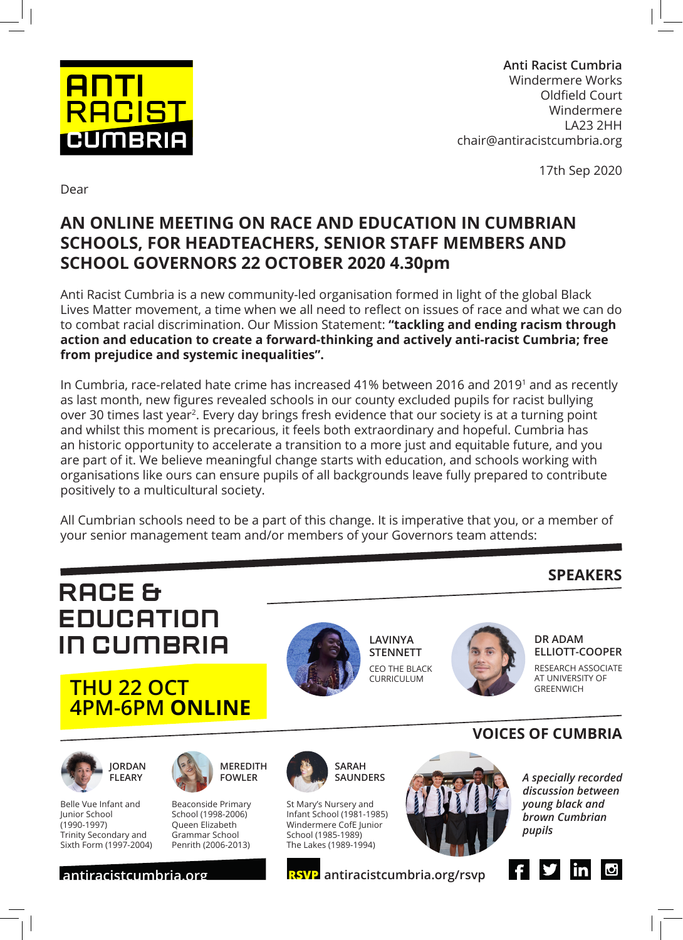

**Anti Racist Cumbria** Windermere Works Oldfield Court Windermere LA23 2HH chair@antiracistcumbria.org

17th Sep 2020

Dear

## **AN ONLINE MEETING ON RACE AND EDUCATION IN CUMBRIAN SCHOOLS, FOR HEADTEACHERS, SENIOR STAFF MEMBERS AND SCHOOL GOVERNORS 22 OCTOBER 2020 4.30pm**

Anti Racist Cumbria is a new community-led organisation formed in light of the global Black Lives Matter movement, a time when we all need to reflect on issues of race and what we can do to combat racial discrimination. Our Mission Statement: **"tackling and ending racism through action and education to create a forward-thinking and actively anti-racist Cumbria; free from prejudice and systemic inequalities".**

In Cumbria, race-related hate crime has increased 41% between 2016 and 20191 and as recently as last month, new figures revealed schools in our county excluded pupils for racist bullying over 30 times last year2. Every day brings fresh evidence that our society is at a turning point and whilst this moment is precarious, it feels both extraordinary and hopeful. Cumbria has an historic opportunity to accelerate a transition to a more just and equitable future, and you are part of it. We believe meaningful change starts with education, and schools working with organisations like ours can ensure pupils of all backgrounds leave fully prepared to contribute positively to a multicultural society.

All Cumbrian schools need to be a part of this change. It is imperative that you, or a member of your senior management team and/or members of your Governors team attends:

## **SPEAKERS**